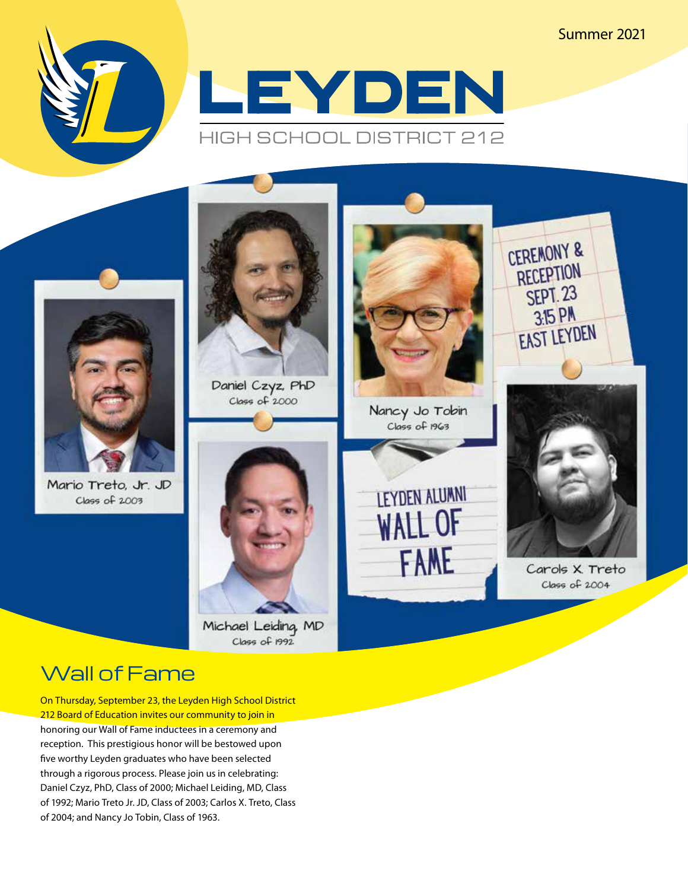#### Summer 2021







Mario Treto, Jr. JD Class of 2003



Daniel Czyz, PhD Class of 2000

Michael Leiding, MD Class of 1992



Nancy Jo Tobin Class of 1963





Carols X Treto Class of 2004

#### Wall of Fame

On Thursday, September 23, the Leyden High School District 212 Board of Education invites our community to join in honoring our Wall of Fame inductees in a ceremony and reception. This prestigious honor will be bestowed upon five worthy Leyden graduates who have been selected through a rigorous process. Please join us in celebrating: Daniel Czyz, PhD, Class of 2000; Michael Leiding, MD, Class of 1992; Mario Treto Jr. JD, Class of 2003; Carlos X. Treto, Class of 2004; and Nancy Jo Tobin, Class of 1963.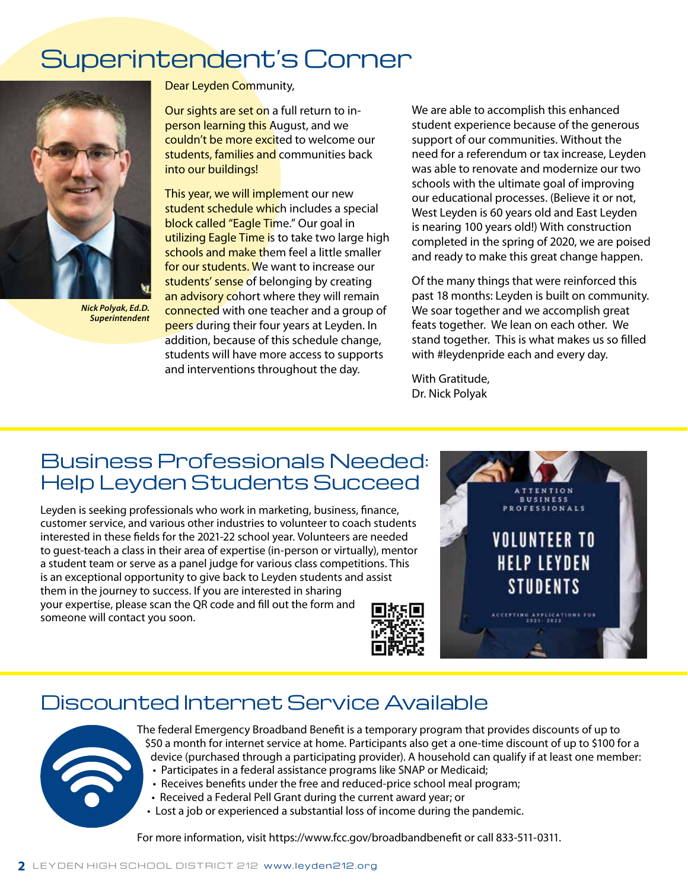### Superintendent's Corner



*Nick Polyak, Ed.D. Superintendent*

Dear Leyden Community,

Our sights are set on a full return to inperson learning this August, and we couldn't be more excited to welcome our students, families and communities back into our buildings!

This year, we will implement our new student schedule which includes a special block called "Eagle Time." Our goal in utilizing Eagle Time is to take two large high schools and make them feel a little smaller for our students. We want to increase our students' sense of belonging by creating an advisory cohort where they will remain connected with one teacher and a group of peers during their four years at Leyden. In addition, because of this schedule change, students will have more access to supports and interventions throughout the day.

We are able to accomplish this enhanced student experience because of the generous support of our communities. Without the need for a referendum or tax increase, Leyden was able to renovate and modernize our two schools with the ultimate goal of improving our educational processes. (Believe it or not, West Leyden is 60 years old and East Leyden is nearing 100 years old!) With construction completed in the spring of 2020, we are poised and ready to make this great change happen.

Of the many things that were reinforced this past 18 months: Leyden is built on community. We soar together and we accomplish great feats together. We lean on each other. We stand together. This is what makes us so filled with #leydenpride each and every day.

With Gratitude, Dr. Nick Polyak

#### Business Professionals Needed: Help Leyden Students Succeed

Leyden is seeking professionals who work in marketing, business, finance, customer service, and various other industries to volunteer to coach students interested in these fields for the 2021-22 school year. Volunteers are needed to guest-teach a class in their area of expertise (in-person or virtually), mentor a student team or serve as a panel judge for various class competitions. This is an exceptional opportunity to give back to Leyden students and assist them in the journey to success. If you are interested in sharing your expertise, please scan the QR code and fill out the form and someone will contact you soon.



#### Discounted Internet Service Available



The federal Emergency Broadband Benefit is a temporary program that provides discounts of up to \$50 a month for internet service at home. Participants also get a one-time discount of up to \$100 for a device (purchased through a participating provider). A household can qualify if at least one member:

- Participates in a federal assistance programs like SNAP or Medicaid;
- Receives benefits under the free and reduced-price school meal program;
- Received a Federal Pell Grant during the current award year; or
- Lost a job or experienced a substantial loss of income during the pandemic.

For more information, visit https://www.fcc.gov/broadbandbenefit or call 833-511-0311.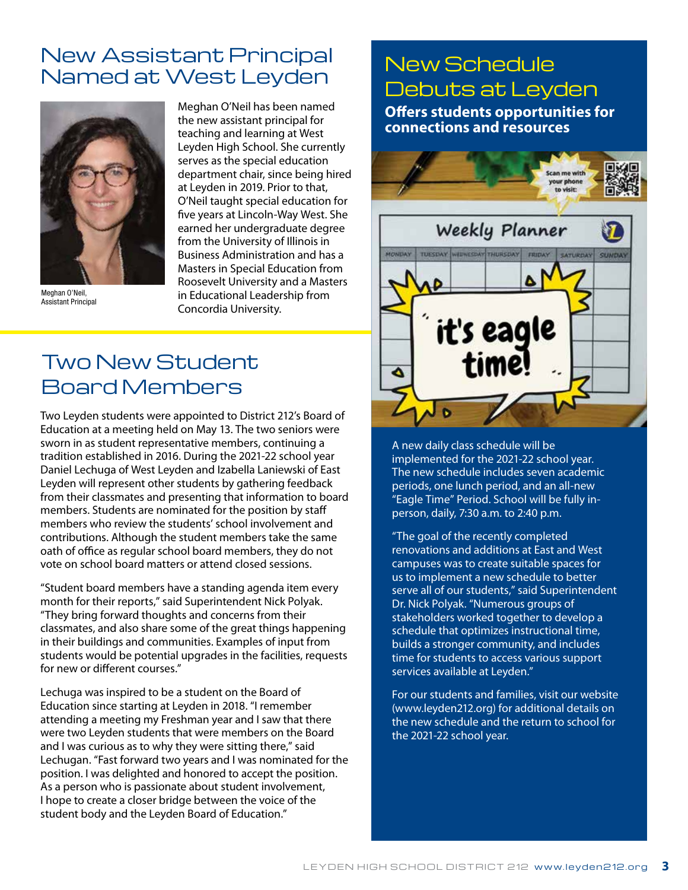#### New Assistant Principal INEW ASSISTANT Principal New Schedule<br>Named at West Leyden Reburnant Love



Meghan O'Neil, Assistant Principal

Meghan O'Neil has been named the new assistant principal for teaching and learning at West Leyden High School. She currently serves as the special education department chair, since being hired at Leyden in 2019. Prior to that, O'Neil taught special education for five years at Lincoln-Way West. She earned her undergraduate degree from the University of Illinois in Business Administration and has a Masters in Special Education from Roosevelt University and a Masters in Educational Leadership from Concordia University.

#### Two New Student Board Members

Two Leyden students were appointed to District 212's Board of Education at a meeting held on May 13. The two seniors were sworn in as student representative members, continuing a tradition established in 2016. During the 2021-22 school year Daniel Lechuga of West Leyden and Izabella Laniewski of East Leyden will represent other students by gathering feedback from their classmates and presenting that information to board members. Students are nominated for the position by staff members who review the students' school involvement and contributions. Although the student members take the same oath of office as regular school board members, they do not vote on school board matters or attend closed sessions.

"Student board members have a standing agenda item every month for their reports," said Superintendent Nick Polyak. "They bring forward thoughts and concerns from their classmates, and also share some of the great things happening in their buildings and communities. Examples of input from students would be potential upgrades in the facilities, requests for new or different courses."

Lechuga was inspired to be a student on the Board of Education since starting at Leyden in 2018. "I remember attending a meeting my Freshman year and I saw that there were two Leyden students that were members on the Board and I was curious as to why they were sitting there," said Lechugan. "Fast forward two years and I was nominated for the position. I was delighted and honored to accept the position. As a person who is passionate about student involvement, I hope to create a closer bridge between the voice of the student body and the Leyden Board of Education."

# Debuts at Leyden **Offers students opportunities for**

**connections and resources** 



A new daily class schedule will be implemented for the 2021-22 school year. The new schedule includes seven academic periods, one lunch period, and an all-new "Eagle Time" Period. School will be fully inperson, daily, 7:30 a.m. to 2:40 p.m.

"The goal of the recently completed renovations and additions at East and West campuses was to create suitable spaces for us to implement a new schedule to better serve all of our students," said Superintendent Dr. Nick Polyak. "Numerous groups of stakeholders worked together to develop a schedule that optimizes instructional time, builds a stronger community, and includes time for students to access various support services available at Leyden."

For our students and families, visit our website (www.leyden212.org) for additional details on the new schedule and the return to school for the 2021-22 school year.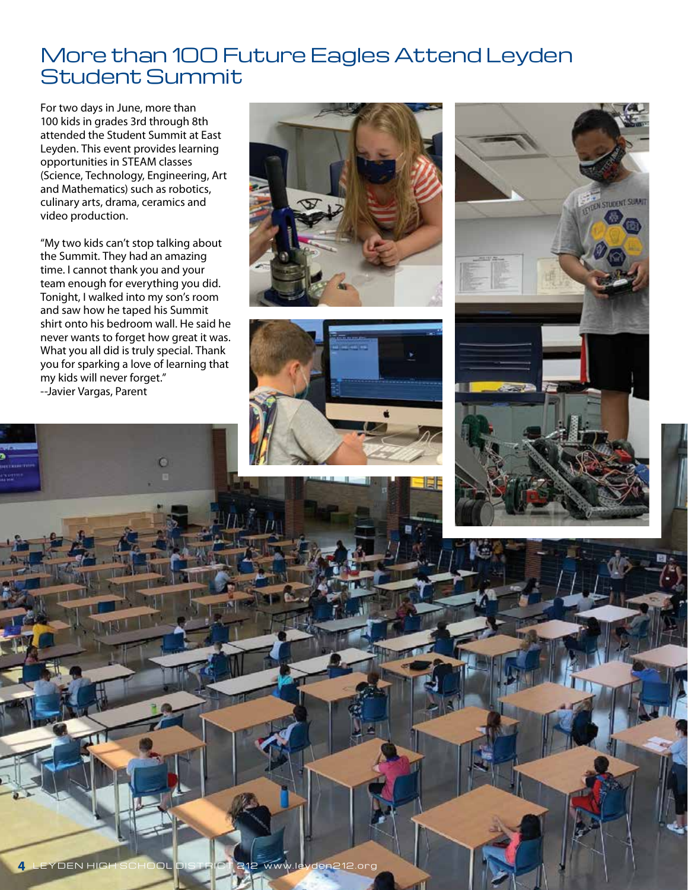#### More than 100 Future Eagles Attend Leyden Student Summit

For two days in June, more than 100 kids in grades 3rd through 8th attended the Student Summit at East Leyden. This event provides learning opportunities in STEAM classes (Science, Technology, Engineering, Art and Mathematics) such as robotics, culinary arts, drama, ceramics and video production.

"My two kids can't stop talking about the Summit. They had an amazing time. I cannot thank you and your team enough for everything you did. Tonight, I walked into my son's room and saw how he taped his Summit shirt onto his bedroom wall. He said he never wants to forget how great it was. What you all did is truly special. Thank you for sparking a love of learning that my kids will never forget." --Javier Vargas, Parent







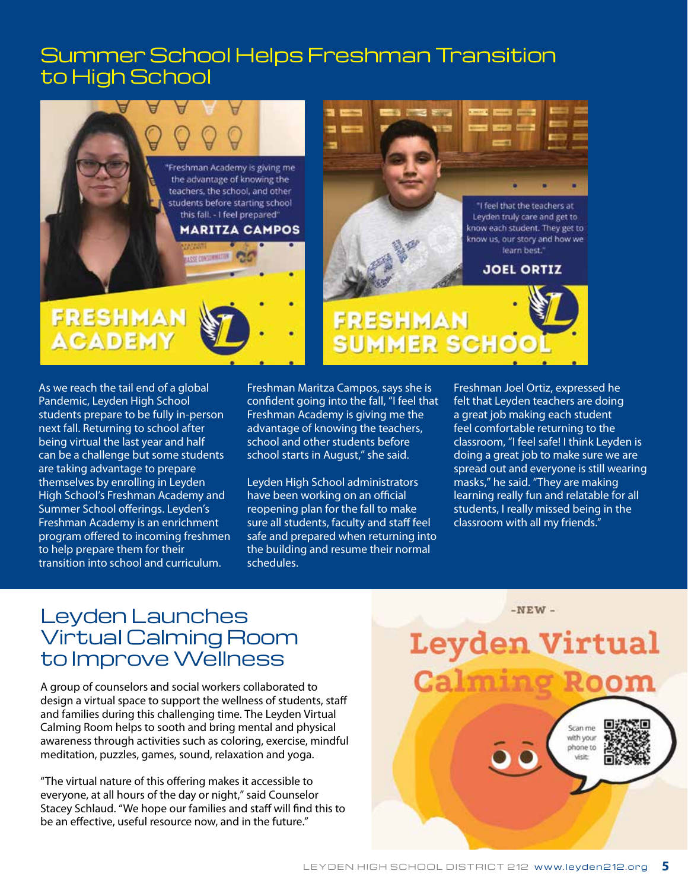#### Summer School Helps Freshman Transition to High School



As we reach the tail end of a global Pandemic, Leyden High School students prepare to be fully in-person next fall. Returning to school after being virtual the last year and half can be a challenge but some students are taking advantage to prepare themselves by enrolling in Leyden High School's Freshman Academy and Summer School offerings. Leyden's Freshman Academy is an enrichment program offered to incoming freshmen to help prepare them for their transition into school and curriculum.

Freshman Maritza Campos, says she is confident going into the fall, "I feel that Freshman Academy is giving me the advantage of knowing the teachers, school and other students before school starts in August," she said.

Leyden High School administrators have been working on an official reopening plan for the fall to make sure all students, faculty and staff feel safe and prepared when returning into the building and resume their normal schedules.

Freshman Joel Ortiz, expressed he felt that Leyden teachers are doing a great job making each student feel comfortable returning to the classroom, "I feel safe! I think Leyden is doing a great job to make sure we are spread out and everyone is still wearing masks," he said. "They are making learning really fun and relatable for all students, I really missed being in the classroom with all my friends."

#### Leyden Launches Virtual Calming Room to Improve Wellness

A group of counselors and social workers collaborated to design a virtual space to support the wellness of students, staff and families during this challenging time. The Leyden Virtual Calming Room helps to sooth and bring mental and physical awareness through activities such as coloring, exercise, mindful meditation, puzzles, games, sound, relaxation and yoga.

"The virtual nature of this offering makes it accessible to everyone, at all hours of the day or night," said Counselor Stacey Schlaud. "We hope our families and staff will find this to be an effective, useful resource now, and in the future."

 $-NEW -$ **Leyden Virtual Calming Ro** Scan me with your phone to visit: